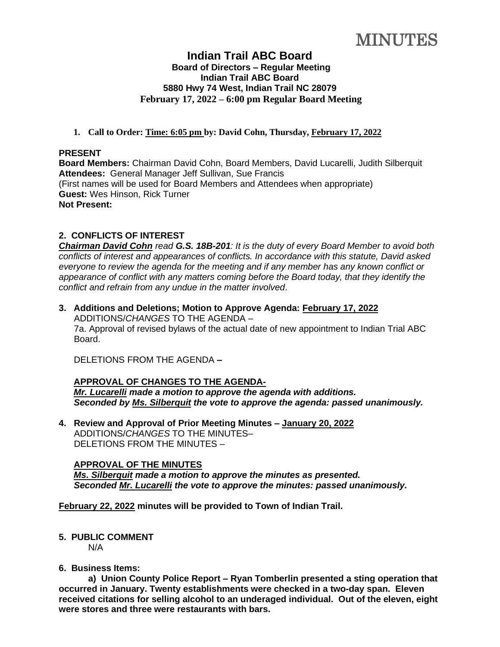**MINUTES** 

# **Indian Trail ABC Board Board of Directors – Regular Meeting Indian Trail ABC Board 5880 Hwy 74 West, Indian Trail NC 28079 February 17, 2022 – 6:00 pm Regular Board Meeting**

# **1. Call to Order: Time: 6:05 pm by: David Cohn, Thursday, February 17, 2022**

#### **PRESENT**

**Board Members:** Chairman David Cohn, Board Members, David Lucarelli, Judith Silberquit **Attendees:** General Manager Jeff Sullivan, Sue Francis (First names will be used for Board Members and Attendees when appropriate) **Guest:** Wes Hinson, Rick Turner **Not Present:**

# **2. CONFLICTS OF INTEREST**

*Chairman David Cohn read G.S. 18B-201: It is the duty of every Board Member to avoid both conflicts of interest and appearances of conflicts. In accordance with this statute, David asked everyone to review the agenda for the meeting and if any member has any known conflict or appearance of conflict with any matters coming before the Board today, that they identify the conflict and refrain from any undue in the matter involved*.

**3. Additions and Deletions; Motion to Approve Agenda: February 17, 2022** ADDITIONS/*CHANGES* TO THE AGENDA – 7a. Approval of revised bylaws of the actual date of new appointment to Indian Trial ABC Board.

DELETIONS FROM THE AGENDA **–**

## **APPROVAL OF CHANGES TO THE AGENDA-**

*Mr. Lucarelli made a motion to approve the agenda with additions. Seconded by Ms. Silberquit the vote to approve the agenda: passed unanimously.*

**4. Review and Approval of Prior Meeting Minutes – January 20, 2022** ADDITIONS/*CHANGES* TO THE MINUTES– DELETIONS FROM THE MINUTES –

## **APPROVAL OF THE MINUTES**

*Ms. Silberquit made a motion to approve the minutes as presented. Seconded Mr. Lucarelli the vote to approve the minutes: passed unanimously.* 

**February 22, 2022 minutes will be provided to Town of Indian Trail.**

# **5. PUBLIC COMMENT**

N/A

# **6. Business Items:**

**a) Union County Police Report – Ryan Tomberlin presented a sting operation that occurred in January. Twenty establishments were checked in a two-day span. Eleven received citations for selling alcohol to an underaged individual. Out of the eleven, eight were stores and three were restaurants with bars.**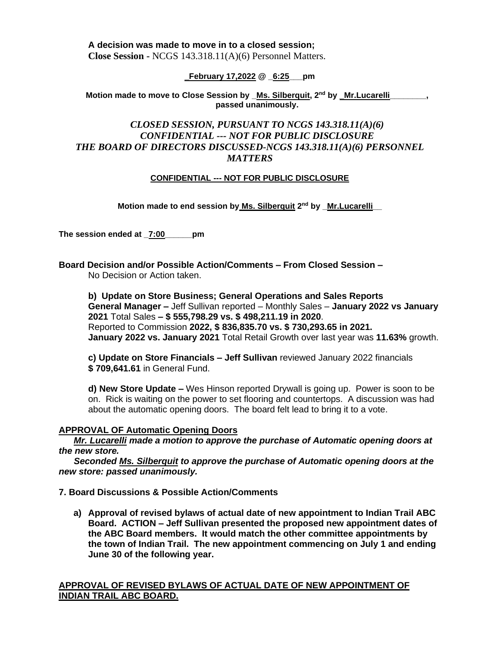**A decision was made to move in to a closed session; Close Session -** NCGS 143.318.11(A)(6) Personnel Matters.

# **\_February 17,2022 @ \_6:25\_\_\_pm**

**Motion made to move to Close Session by \_Ms. Silberquit, 2nd by \_Mr.Lucarelli\_\_\_\_\_\_\_\_, passed unanimously.**

# *CLOSED SESSION, PURSUANT TO NCGS 143.318.11(A)(6) CONFIDENTIAL --- NOT FOR PUBLIC DISCLOSURE THE BOARD OF DIRECTORS DISCUSSED-NCGS 143.318.11(A)(6) PERSONNEL MATTERS*

# **CONFIDENTIAL --- NOT FOR PUBLIC DISCLOSURE**

**Motion made to end session by Ms. Silberquit 2 nd by \_Mr.Lucarelli\_\_**

**The session ended at \_7:00\_\_\_\_\_\_pm**

**Board Decision and/or Possible Action/Comments – From Closed Session –** No Decision or Action taken.

**b) Update on Store Business; General Operations and Sales Reports General Manager –** Jeff Sullivan reported – Monthly Sales – **January 2022 vs January 2021** Total Sales **– \$ 555,798.29 vs. \$ 498,211.19 in 2020**. Reported to Commission **2022, \$ 836,835.70 vs. \$ 730,293.65 in 2021. January 2022 vs. January 2021** Total Retail Growth over last year was **11.63%** growth.

**c) Update on Store Financials – Jeff Sullivan** reviewed January 2022 financials **\$ 709,641.61** in General Fund.

**d) New Store Update –** Wes Hinson reported Drywall is going up. Power is soon to be on. Rick is waiting on the power to set flooring and countertops. A discussion was had about the automatic opening doors. The board felt lead to bring it to a vote.

## **APPROVAL OF Automatic Opening Doors**

*Mr. Lucarelli made a motion to approve the purchase of Automatic opening doors at the new store.*

 *Seconded Ms. Silberquit to approve the purchase of Automatic opening doors at the new store: passed unanimously.* 

**7. Board Discussions & Possible Action/Comments** 

**a) Approval of revised bylaws of actual date of new appointment to Indian Trail ABC Board. ACTION – Jeff Sullivan presented the proposed new appointment dates of the ABC Board members. It would match the other committee appointments by the town of Indian Trail. The new appointment commencing on July 1 and ending June 30 of the following year.**

# **APPROVAL OF REVISED BYLAWS OF ACTUAL DATE OF NEW APPOINTMENT OF INDIAN TRAIL ABC BOARD.**